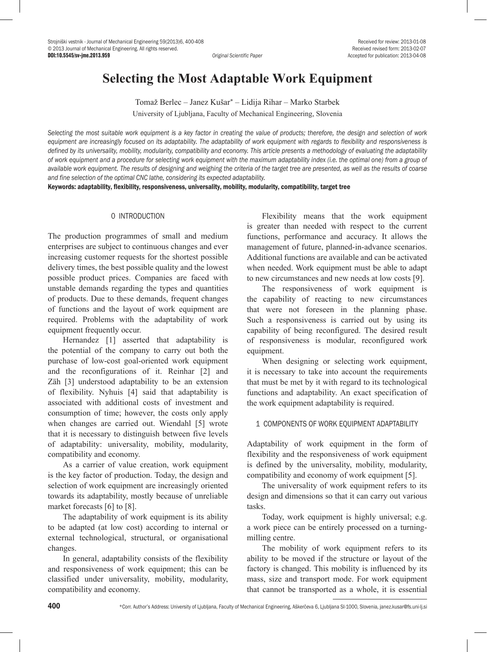# **Selecting the Most Adaptable Work Equipment**

Tomaž Berlec – Janez Kušar\* – Lidija Rihar – Marko Starbek University of Ljubljana, Faculty of Mechanical Engineering, Slovenia

*Selecting the most suitable work equipment is a key factor in creating the value of products; therefore, the design and selection of work*  equipment are increasingly focused on its adaptability. The adaptability of work equipment with regards to flexibility and responsiveness is defined by its universality, mobility, modularity, compatibility and economy. This article presents a methodology of evaluating the adaptability *of work equipment and a procedure for selecting work equipment with the maximum adaptability index (i.e. the optimal one) from a group of available work equipment. The results of designing and weighing the criteria of the target tree are presented, as well as the results of coarse and fine selection of the optimal CNC lathe, considering its expected adaptability.*

Keywords: adaptability, flexibility, responsiveness, universality, mobility, modularity, compatibility, target tree

## 0 INTRODUCTION

The production programmes of small and medium enterprises are subject to continuous changes and ever increasing customer requests for the shortest possible delivery times, the best possible quality and the lowest possible product prices. Companies are faced with unstable demands regarding the types and quantities of products. Due to these demands, frequent changes of functions and the layout of work equipment are required. Problems with the adaptability of work equipment frequently occur.

Hernandez [1] asserted that adaptability is the potential of the company to carry out both the purchase of low-cost goal-oriented work equipment and the reconfigurations of it. Reinhar [2] and Zäh [3] understood adaptability to be an extension of flexibility. Nyhuis [4] said that adaptability is associated with additional costs of investment and consumption of time; however, the costs only apply when changes are carried out. Wiendahl [5] wrote that it is necessary to distinguish between five levels of adaptability: universality, mobility, modularity, compatibility and economy.

As a carrier of value creation, work equipment is the key factor of production. Today, the design and selection of work equipment are increasingly oriented towards its adaptability, mostly because of unreliable market forecasts [6] to [8].

The adaptability of work equipment is its ability to be adapted (at low cost) according to internal or external technological, structural, or organisational changes.

In general, adaptability consists of the flexibility and responsiveness of work equipment; this can be classified under universality, mobility, modularity, compatibility and economy.

Flexibility means that the work equipment is greater than needed with respect to the current functions, performance and accuracy. It allows the management of future, planned-in-advance scenarios. Additional functions are available and can be activated when needed. Work equipment must be able to adapt to new circumstances and new needs at low costs [9].

The responsiveness of work equipment is the capability of reacting to new circumstances that were not foreseen in the planning phase. Such a responsiveness is carried out by using its capability of being reconfigured. The desired result of responsiveness is modular, reconfigured work equipment.

When designing or selecting work equipment, it is necessary to take into account the requirements that must be met by it with regard to its technological functions and adaptability. An exact specification of the work equipment adaptability is required.

#### 1 COMPONENTS OF WORK EQUIPMENT ADAPTABILITY

Adaptability of work equipment in the form of flexibility and the responsiveness of work equipment is defined by the universality, mobility, modularity, compatibility and economy of work equipment [5].

The universality of work equipment refers to its design and dimensions so that it can carry out various tasks.

Today, work equipment is highly universal; e.g. a work piece can be entirely processed on a turningmilling centre.

The mobility of work equipment refers to its ability to be moved if the structure or layout of the factory is changed. This mobility is influenced by its mass, size and transport mode. For work equipment that cannot be transported as a whole, it is essential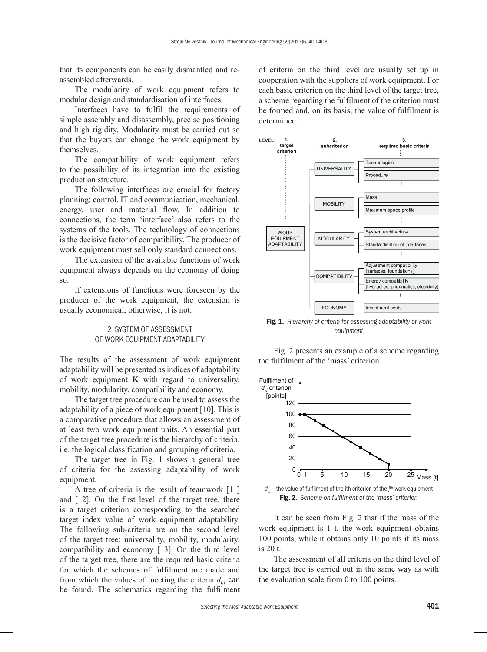that its components can be easily dismantled and reassembled afterwards.

The modularity of work equipment refers to modular design and standardisation of interfaces.

Interfaces have to fulfil the requirements of simple assembly and disassembly, precise positioning and high rigidity. Modularity must be carried out so that the buyers can change the work equipment by themselves.

The compatibility of work equipment refers to the possibility of its integration into the existing production structure.

The following interfaces are crucial for factory planning: control, IT and communication, mechanical, energy, user and material flow. In addition to connections, the term 'interface' also refers to the systems of the tools. The technology of connections is the decisive factor of compatibility. The producer of work equipment must sell only standard connections.

The extension of the available functions of work equipment always depends on the economy of doing so.

If extensions of functions were foreseen by the producer of the work equipment, the extension is usually economical; otherwise, it is not.

#### 2 SYSTEM OF ASSESSMENT OF WORK EQUIPMENT ADAPTABILITY

The results of the assessment of work equipment adaptability will be presented as indices of adaptability of work equipment **K** with regard to universality, mobility, modularity, compatibility and economy.

The target tree procedure can be used to assess the adaptability of a piece of work equipment [10]. This is a comparative procedure that allows an assessment of at least two work equipment units. An essential part of the target tree procedure is the hierarchy of criteria, i.e. the logical classification and grouping of criteria.

The target tree in Fig. 1 shows a general tree of criteria for the assessing adaptability of work equipment.

A tree of criteria is the result of teamwork [11] and [12]. On the first level of the target tree, there is a target criterion corresponding to the searched target index value of work equipment adaptability. The following sub-criteria are on the second level of the target tree: universality, mobility, modularity, compatibility and economy [13]. On the third level of the target tree, there are the required basic criteria for which the schemes of fulfilment are made and from which the values of meeting the criteria  $d_{ij}$  can be found. The schematics regarding the fulfilment of criteria on the third level are usually set up in cooperation with the suppliers of work equipment. For each basic criterion on the third level of the target tree, a scheme regarding the fulfilment of the criterion must be formed and, on its basis, the value of fulfilment is determined.



Fig. 1. *Hierarchy of criteria for assessing adaptability of work equipment*

Fig. 2 presents an example of a scheme regarding the fulfilment of the 'mass' criterion.



*di,j* – the value of fulfilment of the ith criterion of the *j*th work equipment Fig. 2. *Scheme on fulfilment of the 'mass' criterion*

It can be seen from Fig. 2 that if the mass of the work equipment is 1 t, the work equipment obtains 100 points, while it obtains only 10 points if its mass is 20 t.

The assessment of all criteria on the third level of the target tree is carried out in the same way as with the evaluation scale from 0 to 100 points.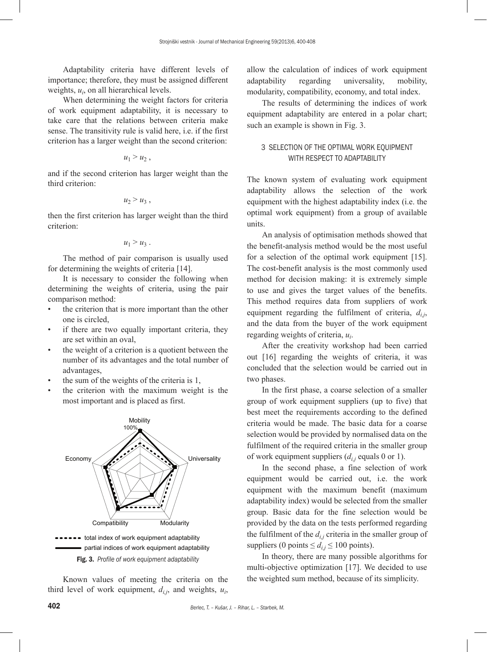Adaptability criteria have different levels of importance; therefore, they must be assigned different weights,  $u_i$ , on all hierarchical levels.

When determining the weight factors for criteria of work equipment adaptability, it is necessary to take care that the relations between criteria make sense. The transitivity rule is valid here, i.e. if the first criterion has a larger weight than the second criterion:

$$
u_1>u_2,
$$

and if the second criterion has larger weight than the third criterion:

$$
u_2 > u_3,
$$

then the first criterion has larger weight than the third criterion:

$$
u_1>u_3.
$$

The method of pair comparison is usually used for determining the weights of criteria [14].

It is necessary to consider the following when determining the weights of criteria, using the pair comparison method:

- the criterion that is more important than the other one is circled,
- if there are two equally important criteria, they are set within an oval,
- the weight of a criterion is a quotient between the number of its advantages and the total number of advantages,
- the sum of the weights of the criteria is 1,
- the criterion with the maximum weight is the most important and is placed as first.



Fig. 3. *Profile of work equipment adaptability*

Known values of meeting the criteria on the third level of work equipment,  $d_{i,j}$ , and weights,  $u_i$ , allow the calculation of indices of work equipment adaptability regarding universality, mobility, modularity, compatibility, economy, and total index.

The results of determining the indices of work equipment adaptability are entered in a polar chart; such an example is shown in Fig. 3.

## 3 SELECTION OF THE OPTIMAL WORK EQUIPMENT WITH RESPECT TO ADAPTABILITY

The known system of evaluating work equipment adaptability allows the selection of the work equipment with the highest adaptability index (i.e. the optimal work equipment) from a group of available units.

An analysis of optimisation methods showed that the benefit-analysis method would be the most useful for a selection of the optimal work equipment [15]. The cost-benefit analysis is the most commonly used method for decision making: it is extremely simple to use and gives the target values of the benefits. This method requires data from suppliers of work equipment regarding the fulfilment of criteria,  $d_{i,j}$ , and the data from the buyer of the work equipment regarding weights of criteria, *ui* .

After the creativity workshop had been carried out [16] regarding the weights of criteria, it was concluded that the selection would be carried out in two phases.

In the first phase, a coarse selection of a smaller group of work equipment suppliers (up to five) that best meet the requirements according to the defined criteria would be made. The basic data for a coarse selection would be provided by normalised data on the fulfilment of the required criteria in the smaller group of work equipment suppliers  $(d_{i,j})$  equals 0 or 1).

In the second phase, a fine selection of work equipment would be carried out, i.e. the work equipment with the maximum benefit (maximum adaptability index) would be selected from the smaller group. Basic data for the fine selection would be provided by the data on the tests performed regarding the fulfilment of the  $d_{i,j}$  criteria in the smaller group of suppliers (0 points  $\leq d_{i,j} \leq 100$  points).

In theory, there are many possible algorithms for multi-objective optimization [17]. We decided to use the weighted sum method, because of its simplicity.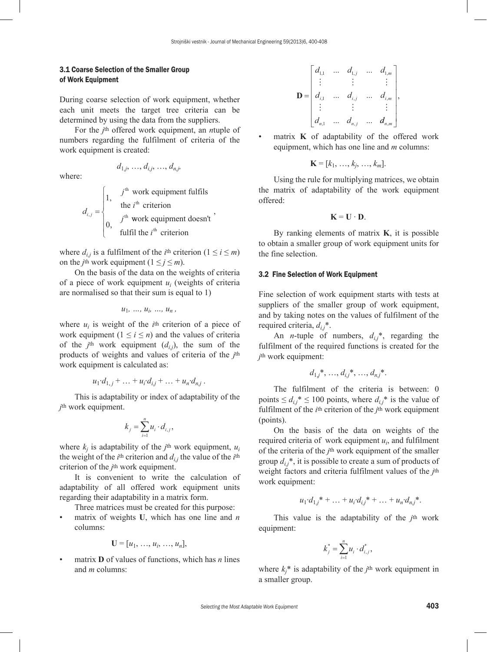#### 3.1 Coarse Selection of the Smaller Group of Work Equipment

During coarse selection of work equipment, whether each unit meets the target tree criteria can be determined by using the data from the suppliers.

For the *j*th offered work equipment, an *n*tuple of numbers regarding the fulfilment of criteria of the work equipment is created:

 $d_{1,j}, \ldots, d_{i,j}, \ldots, d_{n,j}$ 

where:

$$
d_{i,j} = \begin{cases} 1, & j^{\text{th}} \text{ work equipment fulfils} \\ & \text{the } i^{\text{th}} \text{ criterion} \\ & \text{if } j^{\text{th}} \text{ work equipment doesn't} \\ 0, & \text{fullfil the } i^{\text{th}} \text{ criterion} \end{cases}
$$

where  $d_{i,j}$  is a fulfilment of the *i*<sup>th</sup> criterion ( $1 \le i \le m$ ) on the *j*<sup>th</sup> work equipment  $(1 \le j \le m)$ .

On the basis of the data on the weights of criteria of a piece of work equipment  $u_i$  (weights of criteria are normalised so that their sum is equal to 1)

$$
u_1, \ldots, u_i, \ldots, u_n,
$$

where  $u_i$  is weight of the  $i$ <sup>th</sup> criterion of a piece of work equipment  $(1 \le i \le n)$  and the values of criteria of the  $j<sup>th</sup>$  work equipment  $(d<sub>i,j</sub>)$ , the sum of the products of weights and values of criteria of the *j*th work equipment is calculated as:

$$
u_1 \cdot d_{1,j} + \ldots + u_i \cdot d_{i,j} + \ldots + u_n \cdot d_{n,j}
$$
.

This is adaptability or index of adaptability of the *j*th work equipment.

$$
k_j = \sum_{i=1}^n u_i \cdot d_{i,j},
$$

where  $k_j$  is adaptability of the  $j$ <sup>th</sup> work equipment,  $u_i$ the weight of the *i*<sup>th</sup> criterion and  $d_{i,j}$  the value of the *i*<sup>th</sup> criterion of the *j*th work equipment.

It is convenient to write the calculation of adaptability of all offered work equipment units regarding their adaptability in a matrix form.

Three matrices must be created for this purpose:

matrix of weights  $U$ , which has one line and  $n$ columns:

$$
\mathbf{U} = [u_1, \ldots, u_i, \ldots, u_n],
$$

matrix  $\bf{D}$  of values of functions, which has *n* lines and *m* columns:

$$
\mathbf{D} = \begin{bmatrix} d_{1,1} & \dots & d_{1,j} & \dots & d_{1,m} \\ \vdots & & \vdots & & \vdots \\ d_{i,1} & \dots & d_{i,j} & \dots & d_{i,m} \\ \vdots & & \vdots & & \vdots \\ d_{n,1} & \dots & d_{n,j} & \dots & d_{n,m} \end{bmatrix},
$$

matrix  $\bf{K}$  of adaptability of the offered work equipment, which has one line and *m* columns:

$$
K = [k1, ..., kj, ..., km].
$$

Using the rule for multiplying matrices, we obtain the matrix of adaptability of the work equipment offered:

$$
\mathbf{K} = \mathbf{U} \cdot \mathbf{D}.
$$

By ranking elements of matrix **K**, it is possible to obtain a smaller group of work equipment units for the fine selection.

#### 3.2 Fine Selection of Work Equipment

Fine selection of work equipment starts with tests at suppliers of the smaller group of work equipment, and by taking notes on the values of fulfilment of the required criteria,  $d_{i,j}$ <sup>\*</sup>.

An *n*-tuple of numbers,  $d_{i,j}$ <sup>\*</sup>, regarding the fulfilment of the required functions is created for the *j*th work equipment:

$$
d_{1,j}^*, \ldots, d_{i,j}^*, \ldots, d_{n,j}^*.
$$

The fulfilment of the criteria is between: 0 points  $\leq d_{i,j}^* \leq 100$  points, where  $d_{i,j}^*$  is the value of fulfilment of the *i*th criterion of the *j*th work equipment (points).

On the basis of the data on weights of the required criteria of work equipment  $u_i$ , and fulfilment of the criteria of the *j*th work equipment of the smaller group  $d_{i,j}$ <sup>\*</sup>, it is possible to create a sum of products of weight factors and criteria fulfilment values of the *j*th work equipment:

$$
u_1 \, d_{1,j}^* + \ldots + u_i \, d_{i,j}^* + \ldots + u_n \, d_{n,j}^*.
$$

This value is the adaptability of the *j*th work equipment:

$$
k_j^* = \sum_{i=1}^n u_i \cdot d_{i,j}^*,
$$

where  $k_j^*$  is adaptability of the  $j^{\text{th}}$  work equipment in a smaller group.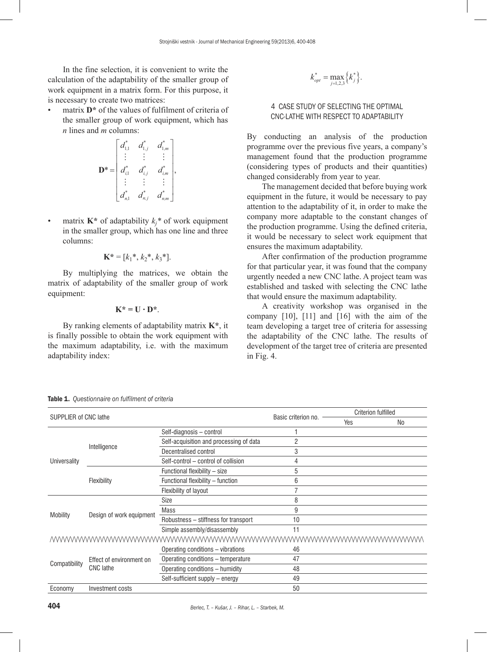In the fine selection, it is convenient to write the calculation of the adaptability of the smaller group of work equipment in a matrix form. For this purpose, it is necessary to create two matrices:

matrix  $\mathbf{D}^*$  of the values of fulfilment of criteria of the smaller group of work equipment, which has *n* lines and *m* columns:

$$
\mathbf{D}^* = \begin{bmatrix} d_{1,1}^* & d_{1,j}^* & d_{1,m}^* \\ \vdots & \vdots & \vdots \\ d_{i,1}^* & d_{i,j}^* & d_{i,m}^* \\ \vdots & \vdots & \vdots \\ d_{n,1}^* & d_{n,j}^* & d_{n,m}^* \end{bmatrix},
$$

• matrix **K\*** of adaptability *kj \** of work equipment in the smaller group, which has one line and three columns:

$$
\mathbf{K}^* = [k_1^*, k_2^*, k_3^*].
$$

By multiplying the matrices, we obtain the matrix of adaptability of the smaller group of work equipment:

$$
K^* = U \cdot D^*.
$$

By ranking elements of adaptability matrix **K\***, it is finally possible to obtain the work equipment with the maximum adaptability, i.e. with the maximum adaptability index:

$$
k_{opt}^* = \max_{j=1,2,3} \{k_j^*\}.
$$

### 4 CASE STUDY OF SELECTING THE OPTIMAL CNC-LATHE WITH RESPECT TO ADAPTABILITY

By conducting an analysis of the production programme over the previous five years, a company's management found that the production programme (considering types of products and their quantities) changed considerably from year to year.

The management decided that before buying work equipment in the future, it would be necessary to pay attention to the adaptability of it, in order to make the company more adaptable to the constant changes of the production programme. Using the defined criteria, it would be necessary to select work equipment that ensures the maximum adaptability.

After confirmation of the production programme for that particular year, it was found that the company urgently needed a new CNC lathe. A project team was established and tasked with selecting the CNC lathe that would ensure the maximum adaptability.

A creativity workshop was organised in the company [10], [11] and [16] with the aim of the team developing a target tree of criteria for assessing the adaptability of the CNC lathe. The results of development of the target tree of criteria are presented in Fig. 4.

Table 1. *Questionnaire on fulfilment of criteria*

|                              |                          |                                         |                     | <b>Criterion fulfilled</b> |     |  |  |  |
|------------------------------|--------------------------|-----------------------------------------|---------------------|----------------------------|-----|--|--|--|
| <b>SUPPLIER of CNC lathe</b> |                          |                                         | Basic criterion no. | Yes                        | No. |  |  |  |
|                              |                          | Self-diagnosis - control                |                     |                            |     |  |  |  |
| Universality                 | Intelligence             | Self-acquisition and processing of data | 2                   |                            |     |  |  |  |
|                              |                          | Decentralised control                   | 3                   |                            |     |  |  |  |
|                              |                          | Self-control - control of collision     | 4                   |                            |     |  |  |  |
|                              |                          | Functional flexibility - size           | 5                   |                            |     |  |  |  |
|                              | Flexibility              | Functional flexibility - function       | 6                   |                            |     |  |  |  |
|                              |                          | Flexibility of layout                   |                     |                            |     |  |  |  |
|                              |                          | Size                                    | 8                   |                            |     |  |  |  |
| Mobility                     | Design of work equipment | Mass                                    | 9                   |                            |     |  |  |  |
|                              |                          | Robustness – stiffness for transport    | 10                  |                            |     |  |  |  |
|                              |                          | Simple assembly/disassembly             | 11                  |                            |     |  |  |  |
|                              |                          |                                         |                     |                            |     |  |  |  |
|                              |                          | Operating conditions - vibrations       | 46                  |                            |     |  |  |  |
| Compatibility                | Effect of environment on | Operating conditions - temperature      | 47                  |                            |     |  |  |  |
|                              | <b>CNC</b> lathe         | Operating conditions - humidity         | 48                  |                            |     |  |  |  |
|                              |                          | Self-sufficient supply – energy         | 49                  |                            |     |  |  |  |
| Economy                      | Investment costs         |                                         | 50                  |                            |     |  |  |  |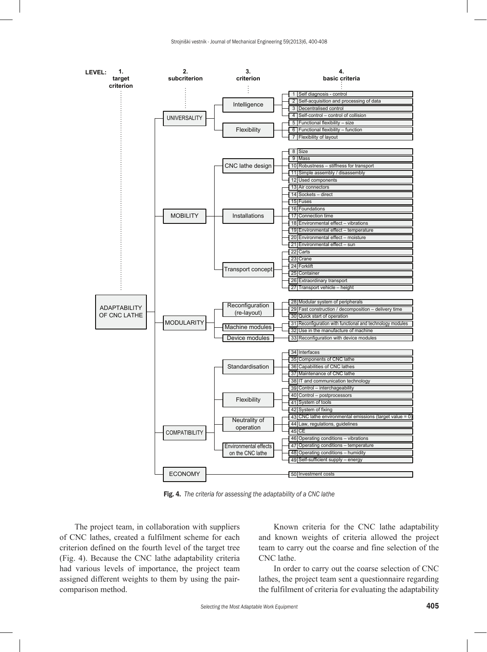

Fig. 4. *The criteria for assessing the adaptability of a CNC lathe*

The project team, in collaboration with suppliers of CNC lathes, created a fulfilment scheme for each criterion defined on the fourth level of the target tree (Fig. 4). Because the CNC lathe adaptability criteria had various levels of importance, the project team assigned different weights to them by using the paircomparison method.

Known criteria for the CNC lathe adaptability and known weights of criteria allowed the project team to carry out the coarse and fine selection of the CNC lathe.

In order to carry out the coarse selection of CNC lathes, the project team sent a questionnaire regarding the fulfilment of criteria for evaluating the adaptability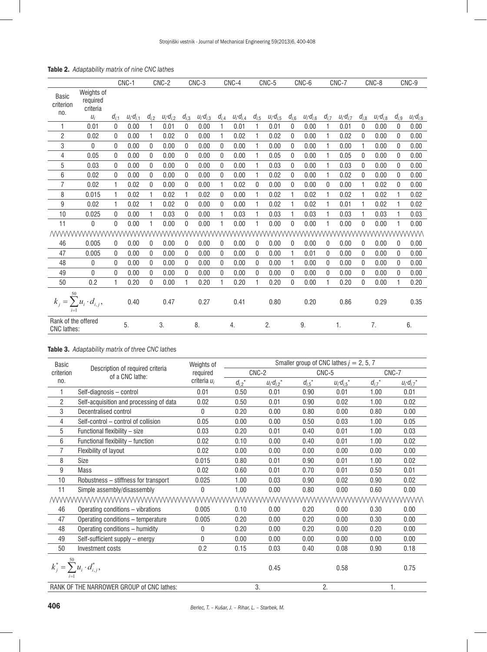|                                    |                                    |              | CNC-1               |          | CNC-2               |           | CNC-3               |              | CNC-4         |           | CNC-5               |           | CNC-6               |           | CNC-7             |              | CNC-8         |           | CNC-9               |
|------------------------------------|------------------------------------|--------------|---------------------|----------|---------------------|-----------|---------------------|--------------|---------------|-----------|---------------------|-----------|---------------------|-----------|-------------------|--------------|---------------|-----------|---------------------|
| <b>Basic</b><br>criterion<br>no.   | Weights of<br>required<br>criteria |              |                     |          |                     |           |                     |              |               |           |                     |           |                     |           |                   |              |               |           |                     |
|                                    | $U_i$                              | $d_{i,1}$    | $u_i \cdot d_{i,1}$ | $d_{i2}$ | $u_i \cdot d_{i,2}$ | $d_{i,3}$ | $u_i \cdot d_{i,3}$ | $d_{i,4}$    | $u_i d_{i,4}$ | $d_{i,5}$ | $u_i \cdot d_{i,5}$ | $d_{i,6}$ | $u_i \cdot d_{i,6}$ | $d_{i.7}$ | $u_i \cdot d_{i}$ | $d_{i,8}$    | $u_i d_{i,8}$ | $d_{i,9}$ | $u_i \cdot d_{i,9}$ |
|                                    | 0.01                               | $\Omega$     | 0.00                | 1        | 0.01                | $\Omega$  | 0.00                | $\mathbf{1}$ | 0.01          | 1         | 0.01                | 0         | 0.00                | 1         | 0.01              | 0            | 0.00          | $\Omega$  | 0.00                |
| $\overline{2}$                     | 0.02                               | $\Omega$     | 0.00                | 1        | 0.02                | $\Omega$  | 0.00                | 1            | 0.02          |           | 0.02                | 0         | 0.00                | 1         | 0.02              | 0            | 0.00          | $\Omega$  | 0.00                |
| 3                                  | 0                                  | $\mathbf{0}$ | 0.00                | 0        | 0.00                | $\Omega$  | 0.00                | $\Omega$     | 0.00          | 1         | 0.00                | $\Omega$  | 0.00                | 1         | 0.00              | 1            | 0.00          | $\Omega$  | 0.00                |
| 4                                  | 0.05                               | $\Omega$     | 0.00                | 0        | 0.00                | $\Omega$  | 0.00                | $\mathbf{0}$ | 0.00          |           | 0.05                | 0         | 0.00                |           | 0.05              | 0            | 0.00          | $\Omega$  | 0.00                |
| 5                                  | 0.03                               | $\Omega$     | 0.00                | 0        | 0.00                | $\Omega$  | 0.00                | $\Omega$     | 0.00          | 1         | 0.03                | $\Omega$  | 0.00                | 1         | 0.03              | 0            | 0.00          | $\Omega$  | 0.00                |
| 6                                  | 0.02                               | $\Omega$     | 0.00                | 0        | 0.00                | 0         | 0.00                | $\mathbf{0}$ | 0.00          | 1         | 0.02                | 0         | 0.00                | 1         | 0.02              | 0            | 0.00          | $\Omega$  | 0.00                |
| $\overline{7}$                     | 0.02                               | 1            | 0.02                | 0        | 0.00                | $\Omega$  | 0.00                | 1            | 0.02          | $\Omega$  | 0.00                | $\Omega$  | 0.00                | 0         | 0.00              | 1            | 0.02          | $\Omega$  | 0.00                |
| 8                                  | 0.015                              | 1            | 0.02                | 1        | 0.02                | 1         | 0.02                | 0            | 0.00          | 1         | 0.02                | 1         | 0.02                | 1         | 0.02              | 1            | 0.02          |           | 0.02                |
| 9                                  | 0.02                               | 1            | 0.02                | 1        | 0.02                | 0         | 0.00                | $\Omega$     | 0.00          | 1         | 0.02                | 1         | 0.02                | 1         | 0.01              | 1            | 0.02          |           | 0.02                |
| 10                                 | 0.025                              | 0            | 0.00                | 1        | 0.03                | 0         | 0.00                | 1            | 0.03          |           | 0.03                | 1         | 0.03                |           | 0.03              | 1            | 0.03          |           | 0.03                |
| 11                                 | $\Omega$                           | $\Omega$     | 0.00                | 1        | 0.00                | 0         | 0.00                | 1            | 0.00          | 1         | 0.00                | 0         | 0.00                | 1         | 0.00              | 0            | 0.00          |           | 0.00                |
|                                    |                                    |              |                     |          |                     |           |                     |              |               |           |                     |           |                     |           |                   |              |               |           |                     |
| 46                                 | 0.005                              | 0            | 0.00                | 0        | 0.00                | 0         | 0.00                | 0            | 0.00          | 0         | 0.00                | 0         | 0.00                | 0         | 0.00              | 0            | 0.00          | 0         | 0.00                |
| 47                                 | 0.005                              | $\Omega$     | 0.00                | $\Omega$ | 0.00                | $\Omega$  | 0.00                | $\Omega$     | 0.00          | $\Omega$  | 0.00                | 1         | 0.01                | 0         | 0.00              | $\Omega$     | 0.00          | $\Omega$  | 0.00                |
| 48                                 | $\mathbf{0}$                       | 0            | 0.00                | 0        | 0.00                | 0         | 0.00                | 0            | 0.00          | $\Omega$  | 0.00                | 1         | 0.00                | 0         | 0.00              | $\mathbf{0}$ | 0.00          | $\Omega$  | 0.00                |
| 49                                 | $\Omega$                           | $\Omega$     | 0.00                | 0        | 0.00                | 0         | 0.00                | $\Omega$     | 0.00          | $\Omega$  | 0.00                | 0         | 0.00                | 0         | 0.00              | 0            | 0.00          | $\Omega$  | 0.00                |
| 50                                 | 0.2                                | 1            | 0.20                | 0        | 0.00                | 1         | 0.20                | 1            | 0.20          | 1         | 0.20                | 0         | 0.00                | 1         | 0.20              | 0            | 0.00          |           | 0.20                |
| 50                                 | $k_j = \sum u_i \cdot d_{i,j}$     |              | 0.40                |          | 0.47                |           | 0.27                |              | 0.41          |           | 0.80                |           | 0.20                |           | 0.86              |              | 0.29          |           | 0.35                |
| Rank of the offered<br>CNC lathes: |                                    |              | 5.                  |          | 3.                  |           | 8.                  |              | 4.            |           | 2.                  |           | 9.                  |           | 1.                |              | 7.            |           | 6.                  |

Table 2. *Adaptability matrix of nine CNC lathes*

## Table 3. *Adaptability matrix of three CNC lathes*

| Basic          |                                                     | Weights of<br>required | Smaller group of CNC lathes $j = 2, 5, 7$ |                                           |      |                            |                        |                            |  |  |
|----------------|-----------------------------------------------------|------------------------|-------------------------------------------|-------------------------------------------|------|----------------------------|------------------------|----------------------------|--|--|
| criterion      | Description of required criteria<br>of a CNC lathe: |                        |                                           | CNC-2                                     |      | CNC-5                      | CNC-7                  |                            |  |  |
| no.            |                                                     | criteria $u_i$         | $d_{i,2}$ <sup>*</sup>                    | $d_{i,5}$ *<br>$u_i d_{i,2}$ <sup>*</sup> |      | $u_i d_{i,5}$ <sup>*</sup> | $d_{i.7}$ <sup>*</sup> | $u_i d_{i.7}$ <sup>*</sup> |  |  |
| 1              | Self-diagnosis - control                            | 0.01                   | 0.50                                      | 0.01                                      | 0.90 | 0.01                       | 1.00                   | 0.01                       |  |  |
| $\overline{2}$ | Self-acquisition and processing of data             | 0.02                   | 0.50                                      | 0.01                                      | 0.90 | 0.02                       | 1.00                   | 0.02                       |  |  |
| 3              | Decentralised control                               | 0                      | 0.20                                      | 0.00                                      | 0.80 | 0.00                       | 0.80                   | 0.00                       |  |  |
| 4              | Self-control - control of collision                 | 0.05                   | 0.00                                      | 0.00                                      | 0.50 | 0.03                       | 1.00                   | 0.05                       |  |  |
| 5              | Functional flexibility - size                       | 0.03                   | 0.20                                      | 0.01                                      | 0.40 | 0.01                       | 1.00                   | 0.03                       |  |  |
| 6              | Functional flexibility - function                   | 0.02                   | 0.10                                      | 0.00                                      | 0.40 | 0.01                       | 1.00                   | 0.02                       |  |  |
| 7              | Flexibility of layout                               | 0.02                   | 0.00                                      | 0.00                                      | 0.00 | 0.00                       | 0.00                   | 0.00                       |  |  |
| 8              | Size                                                | 0.015                  | 0.80                                      | 0.01                                      | 0.90 | 0.01                       | 1.00                   | 0.02                       |  |  |
| 9              | <b>Mass</b>                                         | 0.02                   | 0.60                                      | 0.01                                      | 0.70 | 0.01                       | 0.50                   | 0.01                       |  |  |
| 10             | Robustness - stiffness for transport                | 0.025                  | 1.00                                      | 0.03                                      | 0.90 | 0.02                       | 0.90                   | 0.02                       |  |  |
| 11             | Simple assembly/disassembly                         | 0                      | 1.00                                      | 0.00                                      | 0.80 | 0.00                       | 0.60                   | 0.00                       |  |  |
|                |                                                     |                        |                                           |                                           |      |                            |                        |                            |  |  |
| 46             | Operating conditions - vibrations                   | 0.005                  | 0.10                                      | 0.00                                      | 0.20 | 0.00                       | 0.30                   | 0.00                       |  |  |
| 47             | Operating conditions - temperature                  | 0.005                  | 0.20                                      | 0.00                                      | 0.20 | 0.00                       | 0.30                   | 0.00                       |  |  |
| 48             | Operating conditions - humidity                     | 0                      | 0.20                                      | 0.00                                      | 0.20 | 0.00                       | 0.20                   | 0.00                       |  |  |
| 49             | Self-sufficient supply - energy                     | 0                      | 0.00                                      | 0.00                                      | 0.00 | 0.00                       | 0.00                   | 0.00                       |  |  |
| 50             | Investment costs                                    | 0.2                    | 0.15                                      | 0.03                                      | 0.40 | 0.08                       | 0.90                   | 0.18                       |  |  |
|                | $k_j^* = \sum_{i=1}^{50} u_i \cdot d_{i,j}^*$       |                        |                                           | 0.45                                      |      | 0.58                       |                        | 0.75                       |  |  |
|                | RANK OF THE NARROWER GROUP of CNC lathes:           |                        | 3.                                        |                                           | 2.   |                            | 1.                     |                            |  |  |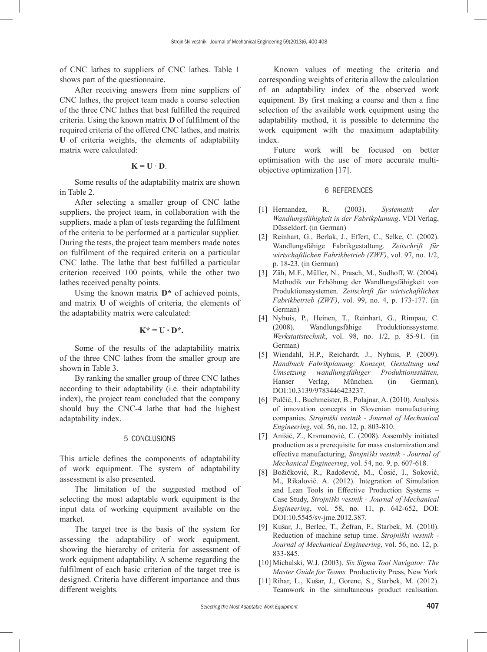of CNC lathes to suppliers of CNC lathes. Table 1 shows part of the questionnaire.

After receiving answers from nine suppliers of CNC lathes, the project team made a coarse selection of the three CNC lathes that best fulfilled the required criteria. Using the known matrix **D** of fulfilment of the required criteria of the offered CNC lathes, and matrix **U** of criteria weights, the elements of adaptability matrix were calculated:

$$
\mathbf{K} = \mathbf{U} \cdot \mathbf{D}.
$$

Some results of the adaptability matrix are shown in Table 2.

After selecting a smaller group of CNC lathe suppliers, the project team, in collaboration with the suppliers, made a plan of tests regarding the fulfilment of the criteria to be performed at a particular supplier. During the tests, the project team members made notes on fulfilment of the required criteria on a particular CNC lathe. The lathe that best fulfilled a particular criterion received 100 points, while the other two lathes received penalty points.

Using the known matrix **D\*** of achieved points, and matrix **U** of weights of criteria, the elements of the adaptability matrix were calculated:

$$
K^* = U \cdot D^*.
$$

Some of the results of the adaptability matrix of the three CNC lathes from the smaller group are shown in Table 3.

By ranking the smaller group of three CNC lathes according to their adaptability (i.e. their adaptability index), the project team concluded that the company should buy the CNC-4 lathe that had the highest adaptability index.

#### 5 CONCLUSIONS

This article defines the components of adaptability of work equipment. The system of adaptability assessment is also presented.

The limitation of the suggested method of selecting the most adaptable work equipment is the input data of working equipment available on the market.

The target tree is the basis of the system for assessing the adaptability of work equipment, showing the hierarchy of criteria for assessment of work equipment adaptability. A scheme regarding the fulfilment of each basic criterion of the target tree is designed. Criteria have different importance and thus different weights.

Known values of meeting the criteria and corresponding weights of criteria allow the calculation of an adaptability index of the observed work equipment. By first making a coarse and then a fine selection of the available work equipment using the adaptability method, it is possible to determine the work equipment with the maximum adaptability index.

Future work will be focused on better optimisation with the use of more accurate multiobjective optimization [17].

#### 6 REFERENCES

- [1] Hernandez, R. (2003). *Systematik der Wandlungsfähigkeit in der Fabrikplanung*. VDI Verlag, Düsseldorf. (in German)
- [2] Reinhart, G., Berlak, J., Effert, C., Selke, C. (2002). Wandlungsfähige Fabrikgestaltung. *Zeitschrift für wirtschaftlichen Fabrikbetrieb (ZWF)*, vol. 97, no. 1/2, p. 18-23. (in German)
- [3] Zäh, M.F., Müller, N., Prasch, M., Sudhoff, W. (2004). Methodik zur Erhöhung der Wandlungsfähigkeit von Produktionssystemen. *Zeitschrift für wirtschaftlichen Fabrikbetrieb (ZWF)*, vol. 99, no. 4, p. 173-177. (in German)
- [4] Nyhuis, P., Heinen, T., Reinhart, G., Rimpau, C. (2008). Wandlungsfähige Produktionssysteme. *Werkstattstechnik*, vol. 98, no. 1/2, p. 85-91. (in German)
- [5] Wiendahl, H.P., Reichardt, J., Nyhuis, P. (2009). *Handbuch Fabrikplanung: Konzept, Gestaltung und Umsetzung wandlungsfähiger Produktionsstätten,*  Hanser Verlag, München. (in German), [DOI:10.3139/9783446423237.](http://dx.doi.org/10.3139/9783446423237)
- [6] Palčič, I., Buchmeister, B., Polajnar, A. (2010). Analysis of innovation concepts in Slovenian manufacturing companies. *Strojniški vestnik - Journal of Mechanical Engineering*, vol. 56, no. 12, p. 803-810.
- [7] Anišić, Z., Krsmanović, C. (2008). Assembly initiated production as a prerequisite for mass customization and effective manufacturing, *Strojniški vestnik - Journal of Mechanical Engineering*, vol. 54, no. 9, p. 607-618.
- [8] Božičković, R., Radošević, M., Ćosić, I., Soković, M., Rikalović. A. (2012). Integration of Simulation and Lean Tools in Effective Production Systems – Case Study, *Strojniški vestnik - Journal of Mechanical Engineering*, vol. 58, no. 11, p. 642-652, DOI: [DOI:10.5545/sv-jme.2012.387.](http://dx.doi.org/10.5545/sv-jme.2012.387)
- [9] Kušar, J., Berlec, T., Žefran, F., Starbek, M. (2010). Reduction of machine setup time. *Strojniški vestnik - Journal of Mechanical Engineering*, vol. 56, no. 12, p. 833-845.
- [10] Michalski, W.J. (2003). *Six Sigma Tool Navigator: The Master Guide for Teams.* Productivity Press, New York
- [11] Rihar, L., Kušar, J., Gorenc, S., Starbek, M. (2012). Teamwork in the simultaneous product realisation.